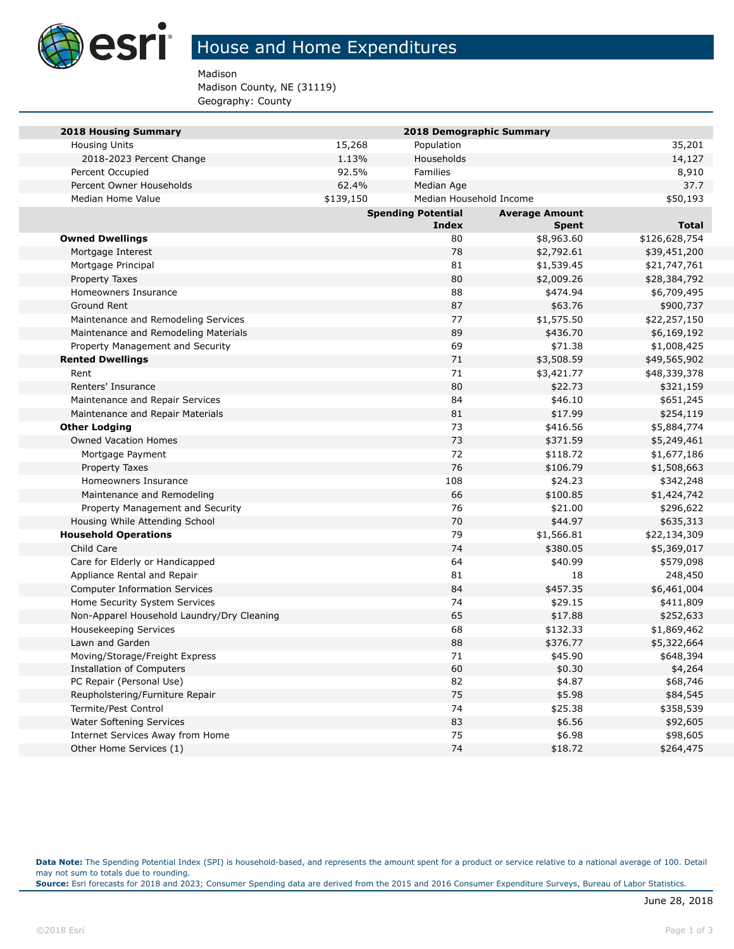

## House and Home Expenditures

Madison

Madison County, NE (31119) Geography: County

| <b>2018 Housing Summary</b>                |                                                    | 2018 Demographic Summary |              |               |
|--------------------------------------------|----------------------------------------------------|--------------------------|--------------|---------------|
| <b>Housing Units</b>                       | 15,268                                             | Population               |              | 35,201        |
| 2018-2023 Percent Change                   | 1.13%                                              | Households               |              | 14,127        |
| Percent Occupied                           | 92.5%                                              | Families                 |              | 8,910         |
| Percent Owner Households                   | 62.4%                                              | Median Age               |              | 37.7          |
| Median Home Value                          | \$139,150                                          | Median Household Income  |              | \$50,193      |
|                                            | <b>Spending Potential</b><br><b>Average Amount</b> |                          |              |               |
|                                            |                                                    | Index                    | <b>Spent</b> | <b>Total</b>  |
| <b>Owned Dwellings</b>                     |                                                    | 80                       | \$8,963.60   | \$126,628,754 |
| Mortgage Interest                          |                                                    | 78                       | \$2,792.61   | \$39,451,200  |
| Mortgage Principal                         |                                                    | 81                       | \$1,539.45   | \$21,747,761  |
| Property Taxes                             |                                                    | 80                       | \$2,009.26   | \$28,384,792  |
| Homeowners Insurance                       |                                                    | 88                       | \$474.94     | \$6,709,495   |
| Ground Rent                                |                                                    | 87                       | \$63.76      | \$900,737     |
| Maintenance and Remodeling Services        |                                                    | 77                       | \$1,575.50   | \$22,257,150  |
| Maintenance and Remodeling Materials       |                                                    | 89                       | \$436.70     | \$6,169,192   |
| Property Management and Security           |                                                    | 69                       | \$71.38      | \$1,008,425   |
| <b>Rented Dwellings</b>                    |                                                    | 71                       | \$3,508.59   | \$49,565,902  |
| Rent                                       |                                                    | 71                       | \$3,421.77   | \$48,339,378  |
| Renters' Insurance                         |                                                    | 80                       | \$22.73      | \$321,159     |
| Maintenance and Repair Services            |                                                    | 84                       | \$46.10      | \$651,245     |
| Maintenance and Repair Materials           |                                                    | 81                       | \$17.99      | \$254,119     |
| <b>Other Lodging</b>                       |                                                    | 73                       | \$416.56     | \$5,884,774   |
| <b>Owned Vacation Homes</b>                |                                                    | 73                       | \$371.59     | \$5,249,461   |
| Mortgage Payment                           |                                                    | 72                       | \$118.72     | \$1,677,186   |
| Property Taxes                             |                                                    | 76                       | \$106.79     | \$1,508,663   |
| Homeowners Insurance                       |                                                    | 108                      | \$24.23      | \$342,248     |
| Maintenance and Remodeling                 |                                                    | 66                       | \$100.85     | \$1,424,742   |
| Property Management and Security           |                                                    | 76                       | \$21.00      | \$296,622     |
| Housing While Attending School             |                                                    | 70                       | \$44.97      | \$635,313     |
| <b>Household Operations</b>                |                                                    | 79                       | \$1,566.81   | \$22,134,309  |
| Child Care                                 |                                                    | 74                       | \$380.05     | \$5,369,017   |
| Care for Elderly or Handicapped            |                                                    | 64                       | \$40.99      | \$579,098     |
| Appliance Rental and Repair                |                                                    | 81                       | 18           | 248,450       |
| <b>Computer Information Services</b>       |                                                    | 84                       | \$457.35     | \$6,461,004   |
| Home Security System Services              |                                                    | 74                       | \$29.15      | \$411,809     |
| Non-Apparel Household Laundry/Dry Cleaning |                                                    | 65                       | \$17.88      | \$252,633     |
| <b>Housekeeping Services</b>               |                                                    | 68                       | \$132.33     | \$1,869,462   |
| Lawn and Garden                            |                                                    | 88                       | \$376.77     | \$5,322,664   |
| Moving/Storage/Freight Express             |                                                    | 71                       | \$45.90      | \$648,394     |
| Installation of Computers                  |                                                    | 60                       | \$0.30       | \$4,264       |
| PC Repair (Personal Use)                   |                                                    | 82                       | \$4.87       | \$68,746      |
| Reupholstering/Furniture Repair            |                                                    | 75                       | \$5.98       | \$84,545      |
| Termite/Pest Control                       |                                                    | 74                       | \$25.38      | \$358,539     |
| Water Softening Services                   |                                                    | 83                       | \$6.56       | \$92,605      |
| Internet Services Away from Home           |                                                    | 75                       | \$6.98       | \$98,605      |
| Other Home Services (1)                    |                                                    | 74                       | \$18.72      | \$264,475     |

**Data Note:** The Spending Potential Index (SPI) is household-based, and represents the amount spent for a product or service relative to a national average of 100. Detail may not sum to totals due to rounding.

**Source:** Esri forecasts for 2018 and 2023; Consumer Spending data are derived from the 2015 and 2016 Consumer Expenditure Surveys, Bureau of Labor Statistics.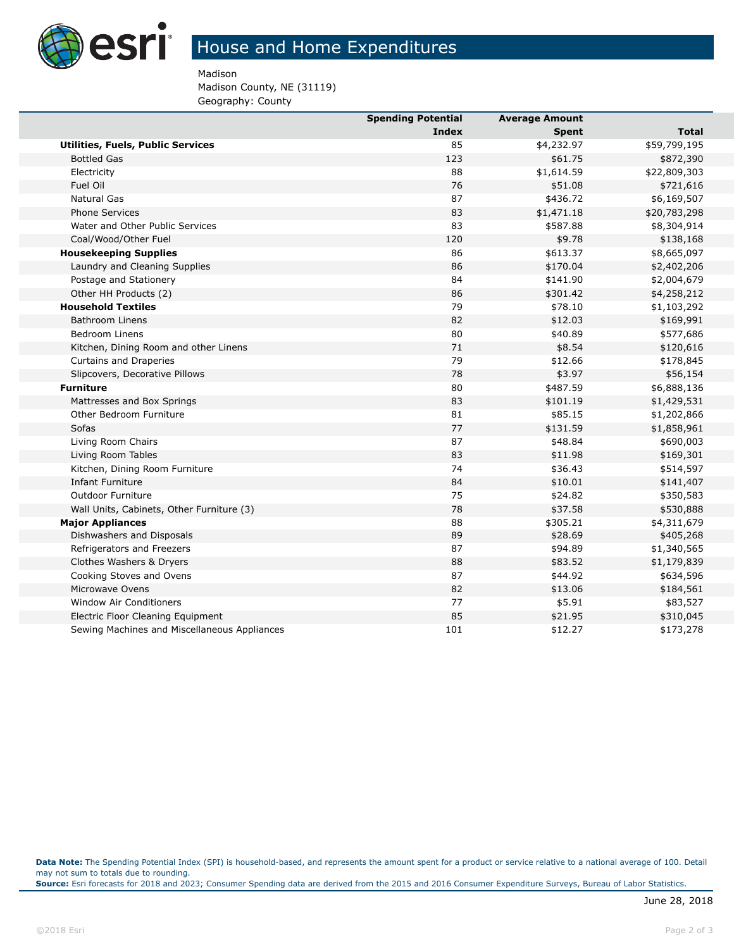

## House and Home Expenditures

Madison

Madison County, NE (31119) Geography: County

|                                              | <b>Spending Potential</b> | <b>Average Amount</b> |              |
|----------------------------------------------|---------------------------|-----------------------|--------------|
|                                              | Index                     | <b>Spent</b>          | Total        |
| <b>Utilities, Fuels, Public Services</b>     | 85                        | \$4,232.97            | \$59,799,195 |
| <b>Bottled Gas</b>                           | 123                       | \$61.75               | \$872,390    |
| Electricity                                  | 88                        | \$1,614.59            | \$22,809,303 |
| Fuel Oil                                     | 76                        | \$51.08               | \$721,616    |
| <b>Natural Gas</b>                           | 87                        | \$436.72              | \$6,169,507  |
| <b>Phone Services</b>                        | 83                        | \$1,471.18            | \$20,783,298 |
| Water and Other Public Services              | 83                        | \$587.88              | \$8,304,914  |
| Coal/Wood/Other Fuel                         | 120                       | \$9.78                | \$138,168    |
| <b>Housekeeping Supplies</b>                 | 86                        | \$613.37              | \$8,665,097  |
| Laundry and Cleaning Supplies                | 86                        | \$170.04              | \$2,402,206  |
| Postage and Stationery                       | 84                        | \$141.90              | \$2,004,679  |
| Other HH Products (2)                        | 86                        | \$301.42              | \$4,258,212  |
| <b>Household Textiles</b>                    | 79                        | \$78.10               | \$1,103,292  |
| <b>Bathroom Linens</b>                       | 82                        | \$12.03               | \$169,991    |
| <b>Bedroom Linens</b>                        | 80                        | \$40.89               | \$577,686    |
| Kitchen, Dining Room and other Linens        | 71                        | \$8.54                | \$120,616    |
| Curtains and Draperies                       | 79                        | \$12.66               | \$178,845    |
| Slipcovers, Decorative Pillows               | 78                        | \$3.97                | \$56,154     |
| <b>Furniture</b>                             | 80                        | \$487.59              | \$6,888,136  |
| Mattresses and Box Springs                   | 83                        | \$101.19              | \$1,429,531  |
| Other Bedroom Furniture                      | 81                        | \$85.15               | \$1,202,866  |
| Sofas                                        | 77                        | \$131.59              | \$1,858,961  |
| Living Room Chairs                           | 87                        | \$48.84               | \$690,003    |
| Living Room Tables                           | 83                        | \$11.98               | \$169,301    |
| Kitchen, Dining Room Furniture               | 74                        | \$36.43               | \$514,597    |
| <b>Infant Furniture</b>                      | 84                        | \$10.01               | \$141,407    |
| <b>Outdoor Furniture</b>                     | 75                        | \$24.82               | \$350,583    |
| Wall Units, Cabinets, Other Furniture (3)    | 78                        | \$37.58               | \$530,888    |
| <b>Major Appliances</b>                      | 88                        | \$305.21              | \$4,311,679  |
| Dishwashers and Disposals                    | 89                        | \$28.69               | \$405,268    |
| Refrigerators and Freezers                   | 87                        | \$94.89               | \$1,340,565  |
| Clothes Washers & Dryers                     | 88                        | \$83.52               | \$1,179,839  |
| Cooking Stoves and Ovens                     | 87                        | \$44.92               | \$634,596    |
| Microwave Ovens                              | 82                        | \$13.06               | \$184,561    |
| <b>Window Air Conditioners</b>               | 77                        | \$5.91                | \$83,527     |
| Electric Floor Cleaning Equipment            | 85                        | \$21.95               | \$310,045    |
| Sewing Machines and Miscellaneous Appliances | 101                       | \$12.27               | \$173,278    |
|                                              |                           |                       |              |

**Data Note:** The Spending Potential Index (SPI) is household-based, and represents the amount spent for a product or service relative to a national average of 100. Detail may not sum to totals due to rounding.

**Source:** Esri forecasts for 2018 and 2023; Consumer Spending data are derived from the 2015 and 2016 Consumer Expenditure Surveys, Bureau of Labor Statistics.